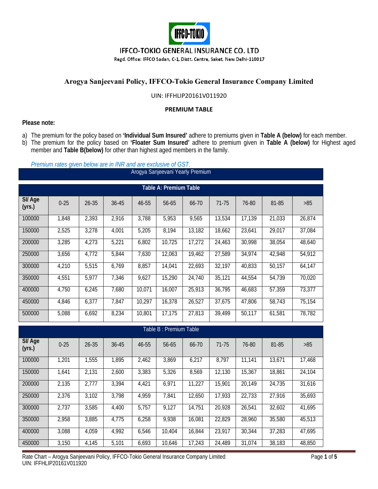

### **IFFCO-TOKIO GENERAL INSURANCE CO. LTD**

Regd. Office: IFFCO Sadan, C-1, Distt. Centre, Saket, New Delhi-110017

# **Arogya Sanjeevani Policy, IFFCO-Tokio General Insurance Company Limited**

#### UIN: IFFHLIP20161V011920

#### **PREMIUM TABLE**

#### **Please note:**

- a) The premium for the policy based on **'Individual Sum Insured'** adhere to premiums given in **Table A (below)** for each member.
- b) The premium for the policy based on **'Floater Sum Insured'** adhere to premium given in **Table A (below)** for Highest aged member and **Table B(below)** for other than highest aged members in the family.

|                               | Premium rates given below are in INR and are exclusive of GST. |           |       |        |        |                                  |        |        |        |        |  |  |
|-------------------------------|----------------------------------------------------------------|-----------|-------|--------|--------|----------------------------------|--------|--------|--------|--------|--|--|
|                               |                                                                |           |       |        |        | Arogya Sanjeevani Yearly Premium |        |        |        |        |  |  |
| <b>Table A: Premium Table</b> |                                                                |           |       |        |        |                                  |        |        |        |        |  |  |
| SI/ Age<br>(yrs.)             | $0 - 25$                                                       | $26 - 35$ | 36-45 | 46-55  | 56-65  | 66-70                            | 71-75  | 76-80  | 81-85  | $>85$  |  |  |
| 100000                        | 1,848                                                          | 2,393     | 2,916 | 3,788  | 5,953  | 9,565                            | 13,534 | 17,139 | 21,033 | 26,874 |  |  |
| 150000                        | 2,525                                                          | 3,278     | 4,001 | 5,205  | 8,194  | 13,182                           | 18,662 | 23,641 | 29,017 | 37,084 |  |  |
| 200000                        | 3,285                                                          | 4,273     | 5,221 | 6,802  | 10,725 | 17,272                           | 24,463 | 30,998 | 38,054 | 48,640 |  |  |
| 250000                        | 3,656                                                          | 4,772     | 5,844 | 7,630  | 12,063 | 19,462                           | 27,589 | 34,974 | 42,948 | 54,912 |  |  |
| 300000                        | 4,210                                                          | 5,515     | 6,769 | 8,857  | 14,041 | 22,693                           | 32,197 | 40,833 | 50,157 | 64,147 |  |  |
| 350000                        | 4,551                                                          | 5,977     | 7,346 | 9,627  | 15,290 | 24,740                           | 35,121 | 44,554 | 54,739 | 70,020 |  |  |
| 400000                        | 4,750                                                          | 6,245     | 7,680 | 10,071 | 16,007 | 25,913                           | 36,795 | 46,683 | 57,359 | 73,377 |  |  |
| 450000                        | 4,846                                                          | 6,377     | 7,847 | 10,297 | 16,378 | 26,527                           | 37,675 | 47,806 | 58,743 | 75,154 |  |  |
| 500000                        | 5,088                                                          | 6,692     | 8,234 | 10,801 | 17,175 | 27,813                           | 39,499 | 50,117 | 61,581 | 78,782 |  |  |
| Table B: Premium Table        |                                                                |           |       |        |        |                                  |        |        |        |        |  |  |
|                               |                                                                |           |       |        |        |                                  |        |        |        |        |  |  |
| SI/Age<br>(yrs.)              | $0 - 25$                                                       | $26 - 35$ | 36-45 | 46-55  | 56-65  | 66-70                            | 71-75  | 76-80  | 81-85  | $>85$  |  |  |

| SII Age<br>(yrs.) | $0 - 25$ | $26 - 35$ | $36 - 45$ | 46-55 | 56-65  | 66-70  | 71-75  | 76-80  | 81-85  | >85    |
|-------------------|----------|-----------|-----------|-------|--------|--------|--------|--------|--------|--------|
| 100000            | 1,201    | 1,555     | 1,895     | 2,462 | 3,869  | 6,217  | 8,797  | 11.141 | 13,671 | 17,468 |
| 150000            | 1,641    | 2,131     | 2,600     | 3,383 | 5,326  | 8,569  | 12,130 | 15,367 | 18,861 | 24,104 |
| 200000            | 2,135    | 2,777     | 3,394     | 4,421 | 6,971  | 11,227 | 15,901 | 20,149 | 24,735 | 31,616 |
| 250000            | 2,376    | 3,102     | 3,798     | 4,959 | 7,841  | 12,650 | 17,933 | 22,733 | 27,916 | 35,693 |
| 300000            | 2,737    | 3,585     | 4,400     | 5,757 | 9,127  | 14,751 | 20,928 | 26,541 | 32,602 | 41,695 |
| 350000            | 2,958    | 3,885     | 4,775     | 6,258 | 9,938  | 16,081 | 22,829 | 28,960 | 35,580 | 45,513 |
| 400000            | 3,088    | 4,059     | 4,992     | 6,546 | 10,404 | 16,844 | 23,917 | 30,344 | 37,283 | 47,695 |
| 450000            | 3,150    | 4.145     | 5,101     | 6,693 | 10.646 | 17,243 | 24.489 | 31,074 | 38.183 | 48.850 |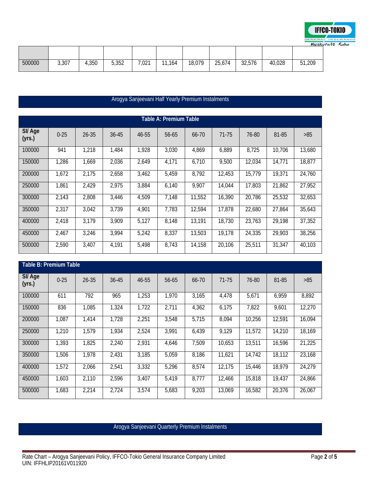

| 500000 | 3,307 | 4,350 | 5,352 | 7,021 | 11,164 | 18,079 | 25,674 | 32,576 | 40,028 | 51,209 |
|--------|-------|-------|-------|-------|--------|--------|--------|--------|--------|--------|

|                               | Arogya Sanjeevani Half Yearly Premium Instalments |           |       |       |       |        |        |        |        |        |  |  |
|-------------------------------|---------------------------------------------------|-----------|-------|-------|-------|--------|--------|--------|--------|--------|--|--|
|                               |                                                   |           |       |       |       |        |        |        |        |        |  |  |
| <b>Table A: Premium Table</b> |                                                   |           |       |       |       |        |        |        |        |        |  |  |
| SI/ Age<br>(yrs.)             | $0 - 25$                                          | $26 - 35$ | 36-45 | 46-55 | 56-65 | 66-70  | 71-75  | 76-80  | 81-85  | >85    |  |  |
| 100000                        | 941                                               | 1,218     | 1,484 | 1,928 | 3,030 | 4,869  | 6,889  | 8,725  | 10,706 | 13,680 |  |  |
| 150000                        | 1,286                                             | 1,669     | 2,036 | 2,649 | 4,171 | 6,710  | 9,500  | 12,034 | 14,771 | 18,877 |  |  |
| 200000                        | 1,672                                             | 2,175     | 2,658 | 3,462 | 5,459 | 8,792  | 12,453 | 15,779 | 19,371 | 24,760 |  |  |
| 250000                        | 1,861                                             | 2,429     | 2,975 | 3,884 | 6,140 | 9,907  | 14,044 | 17,803 | 21,862 | 27,952 |  |  |
| 300000                        | 2,143                                             | 2,808     | 3,446 | 4,509 | 7,148 | 11,552 | 16,390 | 20,786 | 25,532 | 32,653 |  |  |
| 350000                        | 2,317                                             | 3,042     | 3,739 | 4,901 | 7,783 | 12,594 | 17,878 | 22,680 | 27,864 | 35,643 |  |  |
| 400000                        | 2,418                                             | 3,179     | 3,909 | 5,127 | 8,148 | 13,191 | 18,730 | 23,763 | 29,198 | 37,352 |  |  |
| 450000                        | 2,467                                             | 3,246     | 3,994 | 5,242 | 8,337 | 13,503 | 19,178 | 24,335 | 29,903 | 38,256 |  |  |
| 500000                        | 2,590                                             | 3,407     | 4,191 | 5,498 | 8,743 | 14,158 | 20,106 | 25,511 | 31,347 | 40,103 |  |  |

|                  | <b>Table B: Premium Table</b> |           |       |       |       |       |        |        |        |        |  |  |  |
|------------------|-------------------------------|-----------|-------|-------|-------|-------|--------|--------|--------|--------|--|--|--|
| SI/Age<br>(yrs.) | $0 - 25$                      | $26 - 35$ | 36-45 | 46-55 | 56-65 | 66-70 | 71-75  | 76-80  | 81-85  | $>85$  |  |  |  |
| 100000           | 611                           | 792       | 965   | 1,253 | 1,970 | 3,165 | 4,478  | 5,671  | 6,959  | 8,892  |  |  |  |
| 150000           | 836                           | 1,085     | 1,324 | 1,722 | 2,711 | 4,362 | 6,175  | 7,822  | 9,601  | 12,270 |  |  |  |
| 200000           | 1,087                         | 1,414     | 1,728 | 2,251 | 3,548 | 5,715 | 8,094  | 10,256 | 12,591 | 16,094 |  |  |  |
| 250000           | 1,210                         | 1,579     | 1,934 | 2,524 | 3,991 | 6,439 | 9,129  | 11,572 | 14,210 | 18,169 |  |  |  |
| 300000           | 1,393                         | 1,825     | 2,240 | 2,931 | 4,646 | 7,509 | 10,653 | 13,511 | 16,596 | 21,225 |  |  |  |
| 350000           | 1,506                         | 1,978     | 2,431 | 3,185 | 5,059 | 8,186 | 11,621 | 14.742 | 18,112 | 23,168 |  |  |  |
| 400000           | 1,572                         | 2,066     | 2,541 | 3,332 | 5,296 | 8,574 | 12,175 | 15,446 | 18,979 | 24,279 |  |  |  |
| 450000           | 1,603                         | 2,110     | 2,596 | 3,407 | 5,419 | 8,777 | 12,466 | 15,818 | 19,437 | 24,866 |  |  |  |
| 500000           | 1,683                         | 2,214     | 2,724 | 3,574 | 5,683 | 9,203 | 13,069 | 16,582 | 20,376 | 26,067 |  |  |  |

# Arogya Sanjeevani Quarterly Premium Instalments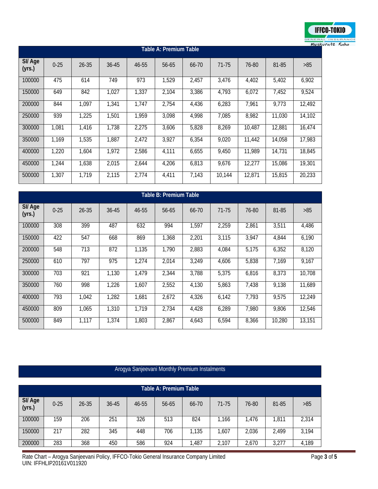

| <b>Table A: Premium Table</b> |          |           |       |       |       |       |        |        |        |        |  |
|-------------------------------|----------|-----------|-------|-------|-------|-------|--------|--------|--------|--------|--|
| SI/ Age<br>(yrs.)             | $0 - 25$ | $26 - 35$ | 36-45 | 46-55 | 56-65 | 66-70 | 71-75  | 76-80  | 81-85  | >85    |  |
| 100000                        | 475      | 614       | 749   | 973   | 1,529 | 2,457 | 3,476  | 4,402  | 5,402  | 6,902  |  |
| 150000                        | 649      | 842       | 1,027 | 1,337 | 2,104 | 3,386 | 4,793  | 6,072  | 7,452  | 9,524  |  |
| 200000                        | 844      | 1,097     | 1,341 | 1,747 | 2,754 | 4,436 | 6,283  | 7,961  | 9,773  | 12,492 |  |
| 250000                        | 939      | 1,225     | 1,501 | 1,959 | 3,098 | 4,998 | 7,085  | 8,982  | 11,030 | 14,102 |  |
| 300000                        | 1,081    | 1,416     | 1,738 | 2,275 | 3,606 | 5,828 | 8,269  | 10,487 | 12,881 | 16,474 |  |
| 350000                        | 1,169    | 1,535     | 1,887 | 2,472 | 3,927 | 6,354 | 9,020  | 11.442 | 14,058 | 17,983 |  |
| 400000                        | 1,220    | 1,604     | 1,972 | 2,586 | 4,111 | 6,655 | 9,450  | 11,989 | 14,731 | 18,845 |  |
| 450000                        | 1,244    | 1,638     | 2,015 | 2,644 | 4,206 | 6,813 | 9,676  | 12,277 | 15,086 | 19,301 |  |
| 500000                        | 1.307    | 1,719     | 2,115 | 2,774 | 4,411 | 7,143 | 10.144 | 12,871 | 15.815 | 20,233 |  |

| <b>Table B: Premium Table</b> |          |           |       |       |       |       |       |       |        |        |  |
|-------------------------------|----------|-----------|-------|-------|-------|-------|-------|-------|--------|--------|--|
| SI/Age<br>(yrs.)              | $0 - 25$ | $26 - 35$ | 36-45 | 46-55 | 56-65 | 66-70 | 71-75 | 76-80 | 81-85  | $>85$  |  |
| 100000                        | 308      | 399       | 487   | 632   | 994   | 1,597 | 2,259 | 2,861 | 3,511  | 4,486  |  |
| 150000                        | 422      | 547       | 668   | 869   | 1,368 | 2,201 | 3,115 | 3,947 | 4,844  | 6,190  |  |
| 200000                        | 548      | 713       | 872   | 1,135 | 1,790 | 2,883 | 4,084 | 5,175 | 6,352  | 8,120  |  |
| 250000                        | 610      | 797       | 975   | 1,274 | 2,014 | 3,249 | 4,606 | 5,838 | 7,169  | 9,167  |  |
| 300000                        | 703      | 921       | 1,130 | 1,479 | 2,344 | 3,788 | 5,375 | 6,816 | 8,373  | 10,708 |  |
| 350000                        | 760      | 998       | 1,226 | 1,607 | 2,552 | 4,130 | 5,863 | 7,438 | 9,138  | 11,689 |  |
| 400000                        | 793      | 1,042     | 1,282 | 1,681 | 2,672 | 4,326 | 6,142 | 7,793 | 9,575  | 12,249 |  |
| 450000                        | 809      | 1,065     | 1,310 | 1,719 | 2,734 | 4,428 | 6,289 | 7,980 | 9,806  | 12,546 |  |
| 500000                        | 849      | 1,117     | 1,374 | 1,803 | 2,867 | 4,643 | 6,594 | 8,366 | 10,280 | 13,151 |  |

# Arogya Sanjeevani Monthly Premium Instalments

|                  | Table A: Premium Table |       |       |       |       |       |       |       |       |       |  |  |
|------------------|------------------------|-------|-------|-------|-------|-------|-------|-------|-------|-------|--|--|
| SI/Age<br>(yrs.) | $0 - 25$               | 26-35 | 36-45 | 46-55 | 56-65 | 66-70 | 71-75 | 76-80 | 81-85 | >85   |  |  |
| 100000           | 159                    | 206   | 251   | 326   | 513   | 824   | 1,166 | 1.476 | 1,811 | 2,314 |  |  |
| 150000           | 217                    | 282   | 345   | 448   | 706   | 1,135 | 1,607 | 2,036 | 2.499 | 3,194 |  |  |
| 200000           | 283                    | 368   | 450   | 586   | 924   | 1,487 | 2,107 | 2,670 | 3,277 | 4,189 |  |  |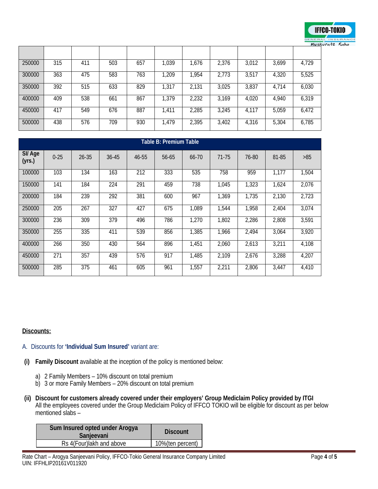

|        |     |     |     |     |       |       |       |       |       | 1103N |
|--------|-----|-----|-----|-----|-------|-------|-------|-------|-------|-------|
|        |     |     |     |     |       |       |       |       |       |       |
| 250000 | 315 | 411 | 503 | 657 | 1,039 | 1,676 | 2,376 | 3,012 | 3,699 | 4,729 |
| 300000 | 363 | 475 | 583 | 763 | 1,209 | 1,954 | 2,773 | 3,517 | 4,320 | 5,525 |
| 350000 | 392 | 515 | 633 | 829 | 1,317 | 2,131 | 3,025 | 3,837 | 4,714 | 6,030 |
| 400000 | 409 | 538 | 661 | 867 | 1,379 | 2,232 | 3,169 | 4,020 | 4,940 | 6,319 |
| 450000 | 417 | 549 | 676 | 887 | 1,411 | 2,285 | 3,245 | 4.117 | 5,059 | 6,472 |
| 500000 | 438 | 576 | 709 | 930 | 1,479 | 2,395 | 3,402 | 4,316 | 5,304 | 6,785 |

| <b>Table B: Premium Table</b> |          |           |       |       |       |       |       |       |       |       |  |
|-------------------------------|----------|-----------|-------|-------|-------|-------|-------|-------|-------|-------|--|
| SI/Age<br>(yrs.)              | $0 - 25$ | $26 - 35$ | 36-45 | 46-55 | 56-65 | 66-70 | 71-75 | 76-80 | 81-85 | >85   |  |
| 100000                        | 103      | 134       | 163   | 212   | 333   | 535   | 758   | 959   | 1,177 | 1,504 |  |
| 150000                        | 141      | 184       | 224   | 291   | 459   | 738   | 1,045 | 1,323 | 1,624 | 2,076 |  |
| 200000                        | 184      | 239       | 292   | 381   | 600   | 967   | 1,369 | 1,735 | 2,130 | 2,723 |  |
| 250000                        | 205      | 267       | 327   | 427   | 675   | 1,089 | 1,544 | 1,958 | 2,404 | 3,074 |  |
| 300000                        | 236      | 309       | 379   | 496   | 786   | 1,270 | 1,802 | 2,286 | 2,808 | 3,591 |  |
| 350000                        | 255      | 335       | 411   | 539   | 856   | 1,385 | 1,966 | 2,494 | 3,064 | 3,920 |  |
| 400000                        | 266      | 350       | 430   | 564   | 896   | 1,451 | 2,060 | 2,613 | 3,211 | 4,108 |  |
| 450000                        | 271      | 357       | 439   | 576   | 917   | 1,485 | 2,109 | 2,676 | 3,288 | 4,207 |  |
| 500000                        | 285      | 375       | 461   | 605   | 961   | 1,557 | 2,211 | 2,806 | 3,447 | 4,410 |  |

#### **Discounts:**

- A. Discounts for **'Individual Sum Insured'** variant are:
- **(i) Family Discount** available at the inception of the policy is mentioned below:
	- a) 2 Family Members 10% discount on total premium
	- b) 3 or more Family Members 20% discount on total premium
- **(ii) Discount for customers already covered under their employers' Group Mediclaim Policy provided by ITGI** All the employees covered under the Group Mediclaim Policy of IFFCO TOKIO will be eligible for discount as per below mentioned slabs –

| Sum Insured opted under Arogya<br>Sanjeevani | <b>Discount</b>  |
|----------------------------------------------|------------------|
| Rs 4(Four) lakh and above                    | 10%(ten percent) |